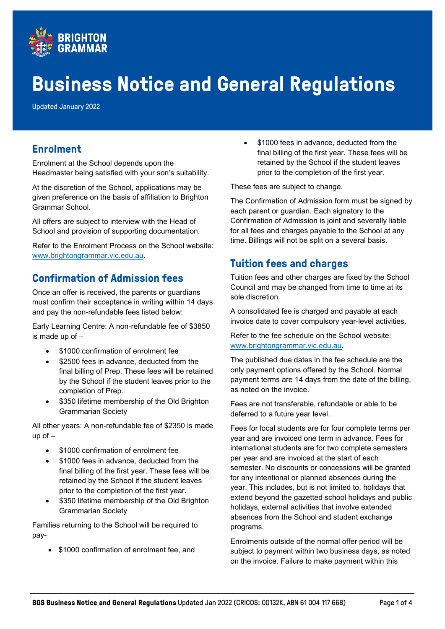

# **Business Notice and General Regulations**

Updated January 2022

#### **Enrolment**

Enrolment at the School depends upon the Headmaster being satisfied with your son's suitability.

At the discretion of the School, applications may be given preference on the basis of affiliation to Brighton Grammar School.

All offers are subject to interview with the Head of School and provision of supporting documentation.

Refer to the Enrolment Process on the School website: [www.brightongrammar.vic.edu.au.](http://www.brightongrammar.vic.edu.au/)

#### **Confirmation of Admission fees**

Once an offer is received, the parents or guardians must confirm their acceptance in writing within 14 days and pay the non-refundable fees listed below:

Early Learning Centre: A non-refundable fee of \$3850 is made up of –

- \$1000 confirmation of enrolment fee
- \$2500 fees in advance, deducted from the final billing of Prep. These fees will be retained by the School if the student leaves prior to the completion of Prep.
- \$350 lifetime membership of the Old Brighton Grammarian Society

All other years: A non-refundable fee of \$2350 is made up of –

- \$1000 confirmation of enrolment fee
- \$1000 fees in advance, deducted from the final billing of the first year. These fees will be retained by the School if the student leaves prior to the completion of the first year.
- \$350 lifetime membership of the Old Brighton Grammarian Society

Families returning to the School will be required to pay-

• \$1000 confirmation of enrolment fee, and

\$1000 fees in advance, deducted from the final billing of the first year. These fees will be retained by the School if the student leaves prior to the completion of the first year.

These fees are subject to change.

The Confirmation of Admission form must be signed by each parent or guardian. Each signatory to the Confirmation of Admission is joint and severally liable for all fees and charges payable to the School at any time. Billings will not be split on a several basis.

#### **Tuition fees and charges**

Tuition fees and other charges are fixed by the School Council and may be changed from time to time at its sole discretion.

A consolidated fee is charged and payable at each invoice date to cover compulsory year-level activities.

Refer to the fee schedule on the School website: [www.brightongrammar.vic.edu.au.](http://www.brightongrammar.vic.edu.au/)

The published due dates in the fee schedule are the only payment options offered by the School. Normal payment terms are 14 days from the date of the billing, as noted on the invoice.

Fees are not transferable, refundable or able to be deferred to a future year level.

Fees for local students are for four complete terms per year and are invoiced one term in advance. Fees for international students are for two complete semesters per year and are invoiced at the start of each semester. No discounts or concessions will be granted for any intentional or planned absences during the year. This includes, but is not limited to, holidays that extend beyond the gazetted school holidays and public holidays, external activities that involve extended absences from the School and student exchange programs.

Enrolments outside of the normal offer period will be subject to payment within two business days, as noted on the invoice. Failure to make payment within this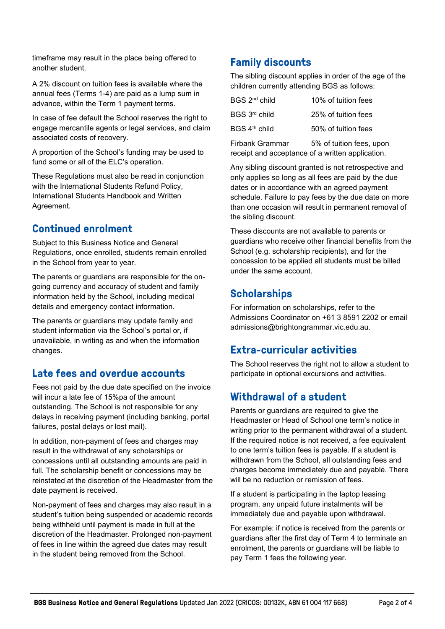timeframe may result in the place being offered to another student.

A 2% discount on tuition fees is available where the annual fees (Terms 1-4) are paid as a lump sum in advance, within the Term 1 payment terms.

In case of fee default the School reserves the right to engage mercantile agents or legal services, and claim associated costs of recovery.

A proportion of the School's funding may be used to fund some or all of the ELC's operation.

These Regulations must also be read in conjunction with the International Students Refund Policy, International Students Handbook and Written Agreement.

## **Continued enrolment**

Subject to this Business Notice and General Regulations, once enrolled, students remain enrolled in the School from year to year.

The parents or guardians are responsible for the ongoing currency and accuracy of student and family information held by the School, including medical details and emergency contact information.

The parents or guardians may update family and student information via the School's portal or, if unavailable, in writing as and when the information changes.

#### **Late fees and overdue accounts**

Fees not paid by the due date specified on the invoice will incur a late fee of 15%pa of the amount outstanding. The School is not responsible for any delays in receiving payment (including banking, portal failures, postal delays or lost mail).

In addition, non-payment of fees and charges may result in the withdrawal of any scholarships or concessions until all outstanding amounts are paid in full. The scholarship benefit or concessions may be reinstated at the discretion of the Headmaster from the date payment is received.

Non-payment of fees and charges may also result in a student's tuition being suspended or academic records being withheld until payment is made in full at the discretion of the Headmaster. Prolonged non-payment of fees in line within the agreed due dates may result in the student being removed from the School.

#### **Family discounts**

The sibling discount applies in order of the age of the children currently attending BGS as follows:

| BGS 2 <sup>nd</sup> child                                                  | 10% of tuition fees      |
|----------------------------------------------------------------------------|--------------------------|
| $BGS$ 3 <sup>rd</sup> child                                                | 25% of tuition fees      |
| $BGS$ 4 <sup>th</sup> child                                                | 50% of tuition fees      |
| <b>Firbank Grammar</b><br>receipt and acceptance of a written application. | 5% of tuition fees, upon |

Any sibling discount granted is not retrospective and only applies so long as all fees are paid by the due dates or in accordance with an agreed payment schedule. Failure to pay fees by the due date on more than one occasion will result in permanent removal of the sibling discount.

These discounts are not available to parents or guardians who receive other financial benefits from the School (e.g. scholarship recipients), and for the concession to be applied all students must be billed under the same account.

## **Scholarships**

For information on scholarships, refer to the Admissions Coordinator on +61 3 8591 2202 or email admissions@brightongrammar.vic.edu.au.

#### **Extra-curricular activities**

The School reserves the right not to allow a student to participate in optional excursions and activities.

#### **Withdrawal of a student**

Parents or guardians are required to give the Headmaster or Head of School one term's notice in writing prior to the permanent withdrawal of a student. If the required notice is not received, a fee equivalent to one term's tuition fees is payable. If a student is withdrawn from the School, all outstanding fees and charges become immediately due and payable. There will be no reduction or remission of fees.

If a student is participating in the laptop leasing program, any unpaid future instalments will be immediately due and payable upon withdrawal.

For example: if notice is received from the parents or guardians after the first day of Term 4 to terminate an enrolment, the parents or guardians will be liable to pay Term 1 fees the following year.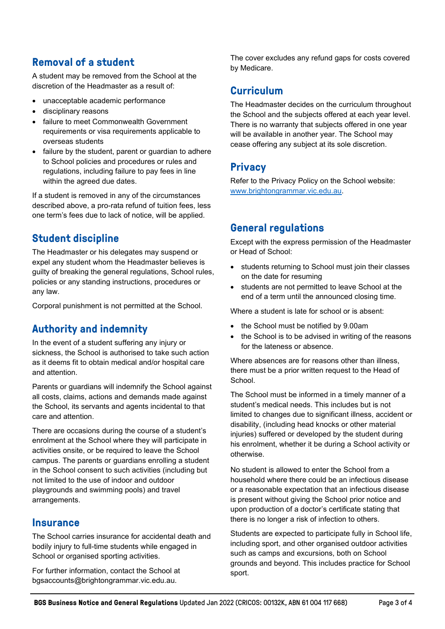## **Removal of a student**

A student may be removed from the School at the discretion of the Headmaster as a result of:

- unacceptable academic performance
- disciplinary reasons
- failure to meet Commonwealth Government requirements or visa requirements applicable to overseas students
- failure by the student, parent or guardian to adhere to School policies and procedures or rules and regulations, including failure to pay fees in line within the agreed due dates.

If a student is removed in any of the circumstances described above, a pro-rata refund of tuition fees, less one term's fees due to lack of notice, will be applied.

# **Student discipline**

The Headmaster or his delegates may suspend or expel any student whom the Headmaster believes is guilty of breaking the general regulations, School rules, policies or any standing instructions, procedures or any law.

Corporal punishment is not permitted at the School.

# **Authority and indemnity**

In the event of a student suffering any injury or sickness, the School is authorised to take such action as it deems fit to obtain medical and/or hospital care and attention.

Parents or guardians will indemnify the School against all costs, claims, actions and demands made against the School, its servants and agents incidental to that care and attention.

There are occasions during the course of a student's enrolment at the School where they will participate in activities onsite, or be required to leave the School campus. The parents or guardians enrolling a student in the School consent to such activities (including but not limited to the use of indoor and outdoor playgrounds and swimming pools) and travel arrangements.

#### **Insurance**

The School carries insurance for accidental death and bodily injury to full-time students while engaged in School or organised sporting activities.

For further information, contact the School at bgsaccounts@brightongrammar.vic.edu.au.

The cover excludes any refund gaps for costs covered by Medicare.

## **Curriculum**

The Headmaster decides on the curriculum throughout the School and the subjects offered at each year level. There is no warranty that subjects offered in one year will be available in another year. The School may cease offering any subject at its sole discretion.

# **Privacy**

Refer to the Privacy Policy on the School website: [www.brightongrammar.vic.edu.au.](http://www.brightongrammar.vic.edu.au/)

# **General regulations**

Except with the express permission of the Headmaster or Head of School:

- students returning to School must join their classes on the date for resuming
- students are not permitted to leave School at the end of a term until the announced closing time.

Where a student is late for school or is absent:

- the School must be notified by 9.00am
- the School is to be advised in writing of the reasons for the lateness or absence.

Where absences are for reasons other than illness, there must be a prior written request to the Head of School.

The School must be informed in a timely manner of a student's medical needs. This includes but is not limited to changes due to significant illness, accident or disability, (including head knocks or other material injuries) suffered or developed by the student during his enrolment, whether it be during a School activity or otherwise.

No student is allowed to enter the School from a household where there could be an infectious disease or a reasonable expectation that an infectious disease is present without giving the School prior notice and upon production of a doctor's certificate stating that there is no longer a risk of infection to others.

Students are expected to participate fully in School life, including sport, and other organised outdoor activities such as camps and excursions, both on School grounds and beyond. This includes practice for School sport.